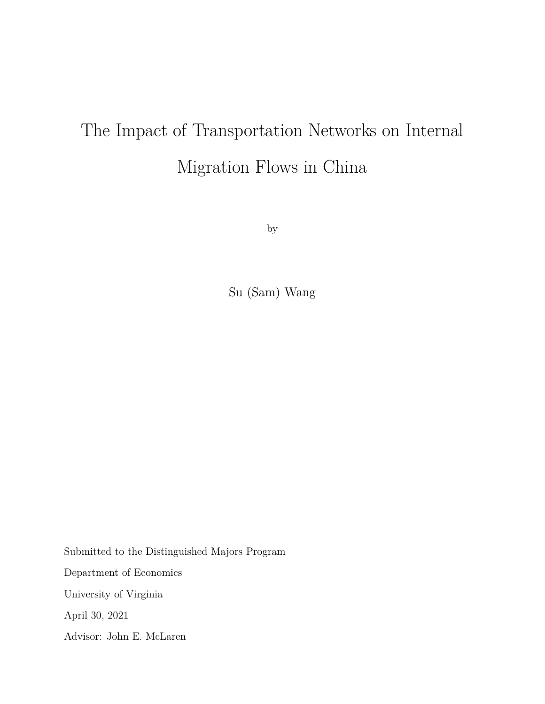# The Impact of Transportation Networks on Internal Migration Flows in China

by

Su (Sam) Wang

Submitted to the Distinguished Majors Program Department of Economics University of Virginia April 30, 2021 Advisor: John E. McLaren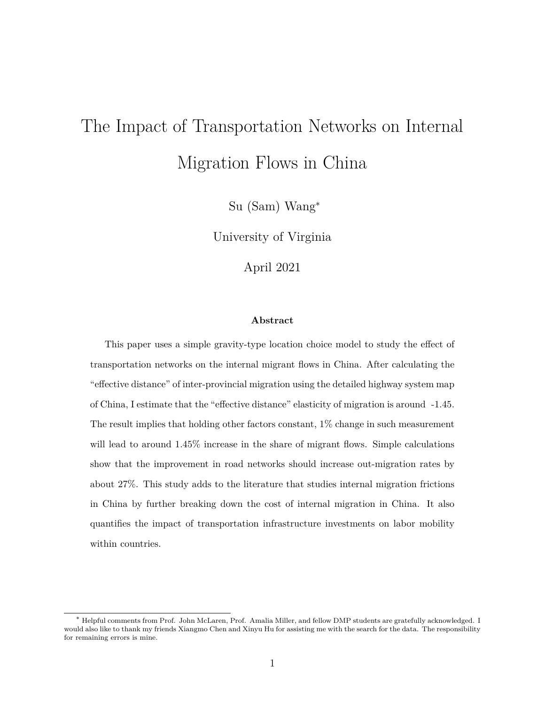# The Impact of Transportation Networks on Internal Migration Flows in China

Su (Sam) Wang<sup>∗</sup>

University of Virginia

April 2021

#### **Abstract**

This paper uses a simple gravity-type location choice model to study the effect of transportation networks on the internal migrant flows in China. After calculating the "effective distance" of inter-provincial migration using the detailed highway system map of China, I estimate that the "effective distance" elasticity of migration is around -1.45. The result implies that holding other factors constant, 1% change in such measurement will lead to around  $1.45\%$  increase in the share of migrant flows. Simple calculations show that the improvement in road networks should increase out-migration rates by about 27%. This study adds to the literature that studies internal migration frictions in China by further breaking down the cost of internal migration in China. It also quantifies the impact of transportation infrastructure investments on labor mobility within countries.

<sup>∗</sup> Helpful comments from Prof. John McLaren, Prof. Amalia Miller, and fellow DMP students are gratefully acknowledged. I would also like to thank my friends Xiangmo Chen and Xinyu Hu for assisting me with the search for the data. The responsibility for remaining errors is mine.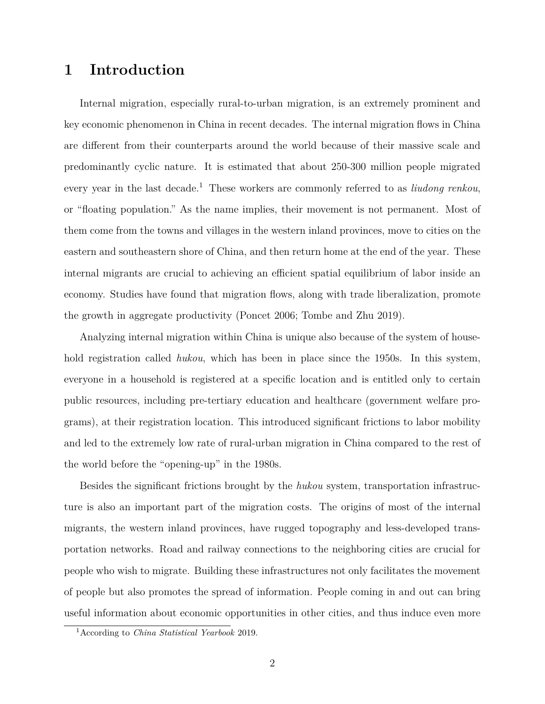# **1 Introduction**

Internal migration, especially rural-to-urban migration, is an extremely prominent and key economic phenomenon in China in recent decades. The internal migration flows in China are different from their counterparts around the world because of their massive scale and predominantly cyclic nature. It is estimated that about 250-300 million people migrated every year in the last decade.<sup>1</sup> These workers are commonly referred to as *liudong renkou*, or "floating population." As the name implies, their movement is not permanent. Most of them come from the towns and villages in the western inland provinces, move to cities on the eastern and southeastern shore of China, and then return home at the end of the year. These internal migrants are crucial to achieving an efficient spatial equilibrium of labor inside an economy. Studies have found that migration flows, along with trade liberalization, promote the growth in aggregate productivity (Poncet 2006; Tombe and Zhu 2019).

Analyzing internal migration within China is unique also because of the system of household registration called *hukou*, which has been in place since the 1950s. In this system, everyone in a household is registered at a specific location and is entitled only to certain public resources, including pre-tertiary education and healthcare (government welfare programs), at their registration location. This introduced significant frictions to labor mobility and led to the extremely low rate of rural-urban migration in China compared to the rest of the world before the "opening-up" in the 1980s.

Besides the significant frictions brought by the *hukou* system, transportation infrastructure is also an important part of the migration costs. The origins of most of the internal migrants, the western inland provinces, have rugged topography and less-developed transportation networks. Road and railway connections to the neighboring cities are crucial for people who wish to migrate. Building these infrastructures not only facilitates the movement of people but also promotes the spread of information. People coming in and out can bring useful information about economic opportunities in other cities, and thus induce even more

<sup>1</sup>According to *China Statistical Yearbook* 2019.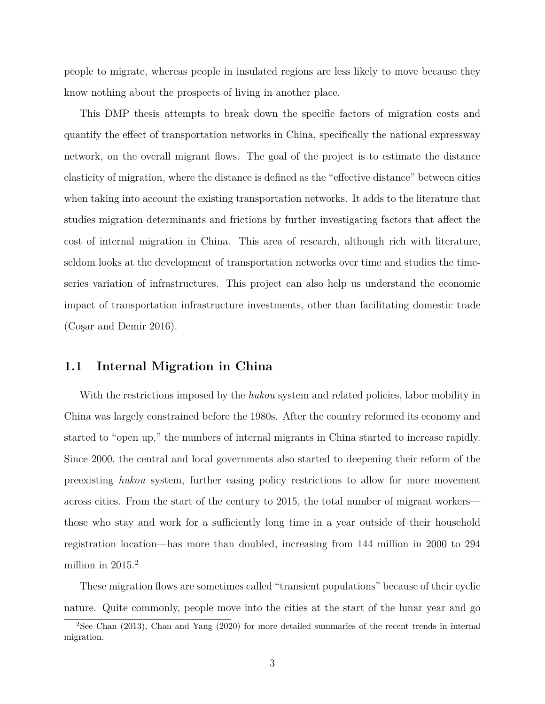people to migrate, whereas people in insulated regions are less likely to move because they know nothing about the prospects of living in another place.

This DMP thesis attempts to break down the specific factors of migration costs and quantify the effect of transportation networks in China, specifically the national expressway network, on the overall migrant flows. The goal of the project is to estimate the distance elasticity of migration, where the distance is defined as the "effective distance" between cities when taking into account the existing transportation networks. It adds to the literature that studies migration determinants and frictions by further investigating factors that affect the cost of internal migration in China. This area of research, although rich with literature, seldom looks at the development of transportation networks over time and studies the timeseries variation of infrastructures. This project can also help us understand the economic impact of transportation infrastructure investments, other than facilitating domestic trade  $(Cosar and Demir 2016).$ 

## **1.1 Internal Migration in China**

With the restrictions imposed by the *hukou* system and related policies, labor mobility in China was largely constrained before the 1980s. After the country reformed its economy and started to "open up," the numbers of internal migrants in China started to increase rapidly. Since 2000, the central and local governments also started to deepening their reform of the preexisting *hukou* system, further easing policy restrictions to allow for more movement across cities. From the start of the century to 2015, the total number of migrant workers those who stay and work for a sufficiently long time in a year outside of their household registration location—has more than doubled, increasing from 144 million in 2000 to 294 million in  $2015.<sup>2</sup>$ 

These migration flows are sometimes called "transient populations" because of their cyclic nature. Quite commonly, people move into the cities at the start of the lunar year and go

<sup>2</sup>See Chan (2013), Chan and Yang (2020) for more detailed summaries of the recent trends in internal migration.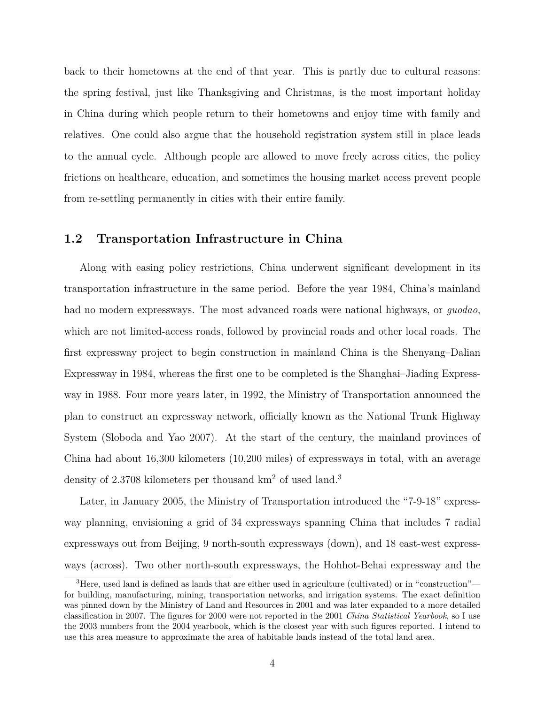back to their hometowns at the end of that year. This is partly due to cultural reasons: the spring festival, just like Thanksgiving and Christmas, is the most important holiday in China during which people return to their hometowns and enjoy time with family and relatives. One could also argue that the household registration system still in place leads to the annual cycle. Although people are allowed to move freely across cities, the policy frictions on healthcare, education, and sometimes the housing market access prevent people from re-settling permanently in cities with their entire family.

## **1.2 Transportation Infrastructure in China**

Along with easing policy restrictions, China underwent significant development in its transportation infrastructure in the same period. Before the year 1984, China's mainland had no modern expressways. The most advanced roads were national highways, or *guodao*, which are not limited-access roads, followed by provincial roads and other local roads. The first expressway project to begin construction in mainland China is the Shenyang–Dalian Expressway in 1984, whereas the first one to be completed is the Shanghai–Jiading Expressway in 1988. Four more years later, in 1992, the Ministry of Transportation announced the plan to construct an expressway network, officially known as the National Trunk Highway System (Sloboda and Yao 2007). At the start of the century, the mainland provinces of China had about 16,300 kilometers (10,200 miles) of expressways in total, with an average density of 2.3708 kilometers per thousand km<sup>2</sup> of used land.<sup>3</sup>

Later, in January 2005, the Ministry of Transportation introduced the "7-9-18" expressway planning, envisioning a grid of 34 expressways spanning China that includes 7 radial expressways out from Beijing, 9 north-south expressways (down), and 18 east-west expressways (across). Two other north-south expressways, the Hohhot-Behai expressway and the

<sup>&</sup>lt;sup>3</sup>Here, used land is defined as lands that are either used in agriculture (cultivated) or in "construction" for building, manufacturing, mining, transportation networks, and irrigation systems. The exact definition was pinned down by the Ministry of Land and Resources in 2001 and was later expanded to a more detailed classification in 2007. The figures for 2000 were not reported in the 2001 *China Statistical Yearbook*, so I use the 2003 numbers from the 2004 yearbook, which is the closest year with such figures reported. I intend to use this area measure to approximate the area of habitable lands instead of the total land area.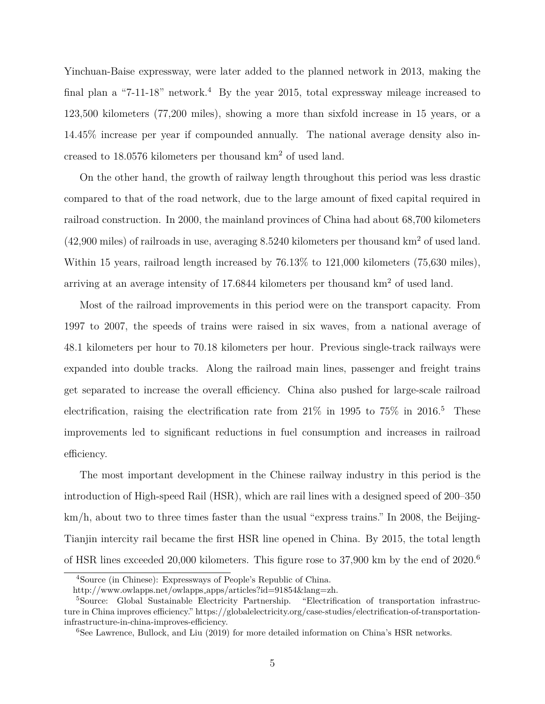Yinchuan-Baise expressway, were later added to the planned network in 2013, making the final plan a "7-11-18" network.<sup>4</sup> By the year 2015, total expressway mileage increased to 123,500 kilometers (77,200 miles), showing a more than sixfold increase in 15 years, or a 14.45% increase per year if compounded annually. The national average density also increased to 18.0576 kilometers per thousand km<sup>2</sup> of used land.

On the other hand, the growth of railway length throughout this period was less drastic compared to that of the road network, due to the large amount of fixed capital required in railroad construction. In 2000, the mainland provinces of China had about 68,700 kilometers  $(42,900 \text{ miles})$  of railroads in use, averaging 8.5240 kilometers per thousand km<sup>2</sup> of used land. Within 15 years, railroad length increased by 76.13% to 121,000 kilometers (75,630 miles), arriving at an average intensity of 17.6844 kilometers per thousand km<sup>2</sup> of used land.

Most of the railroad improvements in this period were on the transport capacity. From 1997 to 2007, the speeds of trains were raised in six waves, from a national average of 48.1 kilometers per hour to 70.18 kilometers per hour. Previous single-track railways were expanded into double tracks. Along the railroad main lines, passenger and freight trains get separated to increase the overall efficiency. China also pushed for large-scale railroad electrification, raising the electrification rate from  $21\%$  in 1995 to  $75\%$  in 2016.<sup>5</sup> These improvements led to significant reductions in fuel consumption and increases in railroad efficiency.

The most important development in the Chinese railway industry in this period is the introduction of High-speed Rail (HSR), which are rail lines with a designed speed of 200–350 km/h, about two to three times faster than the usual "express trains." In 2008, the Beijing-Tianjin intercity rail became the first HSR line opened in China. By 2015, the total length of HSR lines exceeded 20,000 kilometers. This figure rose to 37,900 km by the end of 2020.<sup>6</sup>

<sup>4</sup>Source (in Chinese): Expressways of People's Republic of China.

http://www.owlapps.net/owlapps apps/articles?id=91854&lang=zh.

<sup>5</sup>Source: Global Sustainable Electricity Partnership. "Electrification of transportation infrastructure in China improves efficiency." https://globalelectricity.org/case-studies/electrification-of-transportationinfrastructure-in-china-improves-efficiency.

 $6$ See Lawrence, Bullock, and Liu (2019) for more detailed information on China's HSR networks.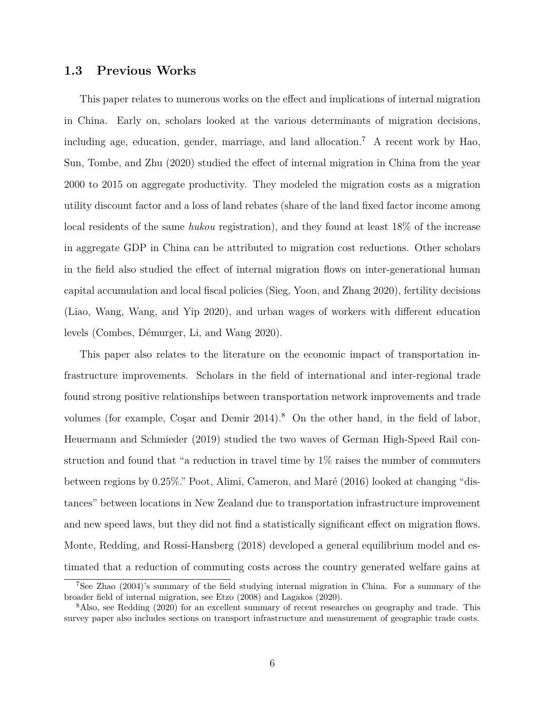### **1.3 Previous Works**

This paper relates to numerous works on the effect and implications of internal migration in China. Early on, scholars looked at the various determinants of migration decisions, including age, education, gender, marriage, and land allocation.<sup>7</sup> A recent work by Hao, Sun, Tombe, and Zhu (2020) studied the effect of internal migration in China from the year 2000 to 2015 on aggregate productivity. They modeled the migration costs as a migration utility discount factor and a loss of land rebates (share of the land fixed factor income among local residents of the same *hukou* registration), and they found at least 18% of the increase in aggregate GDP in China can be attributed to migration cost reductions. Other scholars in the field also studied the effect of internal migration flows on inter-generational human capital accumulation and local fiscal policies (Sieg, Yoon, and Zhang 2020), fertility decisions (Liao, Wang, Wang, and Yip 2020), and urban wages of workers with different education levels (Combes, Démurger, Li, and Wang 2020).

This paper also relates to the literature on the economic impact of transportation infrastructure improvements. Scholars in the field of international and inter-regional trade found strong positive relationships between transportation network improvements and trade volumes (for example, Coşar and Demir  $2014$ ).<sup>8</sup> On the other hand, in the field of labor, Heuermann and Schmieder (2019) studied the two waves of German High-Speed Rail construction and found that "a reduction in travel time by 1% raises the number of commuters between regions by 0.25%." Poot, Alimi, Cameron, and Maré (2016) looked at changing "distances" between locations in New Zealand due to transportation infrastructure improvement and new speed laws, but they did not find a statistically significant effect on migration flows. Monte, Redding, and Rossi-Hansberg (2018) developed a general equilibrium model and estimated that a reduction of commuting costs across the country generated welfare gains at

<sup>7</sup>See Zhao (2004)'s summary of the field studying internal migration in China. For a summary of the broader field of internal migration, see Etzo (2008) and Lagakos (2020).

<sup>8</sup>Also, see Redding (2020) for an excellent summary of recent researches on geography and trade. This survey paper also includes sections on transport infrastructure and measurement of geographic trade costs.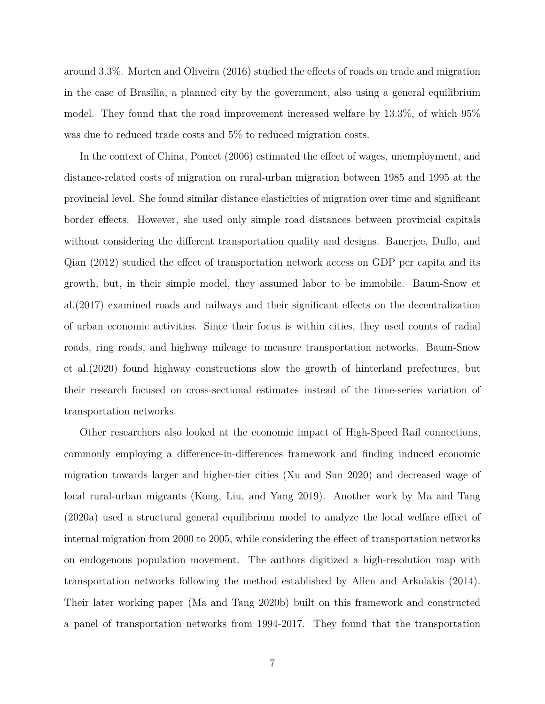around 3.3%. Morten and Oliveira (2016) studied the effects of roads on trade and migration in the case of Brasilia, a planned city by the government, also using a general equilibrium model. They found that the road improvement increased welfare by 13.3%, of which 95% was due to reduced trade costs and 5% to reduced migration costs.

In the context of China, Poncet (2006) estimated the effect of wages, unemployment, and distance-related costs of migration on rural-urban migration between 1985 and 1995 at the provincial level. She found similar distance elasticities of migration over time and significant border effects. However, she used only simple road distances between provincial capitals without considering the different transportation quality and designs. Banerjee, Duflo, and Qian (2012) studied the effect of transportation network access on GDP per capita and its growth, but, in their simple model, they assumed labor to be immobile. Baum-Snow et al.(2017) examined roads and railways and their significant effects on the decentralization of urban economic activities. Since their focus is within cities, they used counts of radial roads, ring roads, and highway mileage to measure transportation networks. Baum-Snow et al.(2020) found highway constructions slow the growth of hinterland prefectures, but their research focused on cross-sectional estimates instead of the time-series variation of transportation networks.

Other researchers also looked at the economic impact of High-Speed Rail connections, commonly employing a difference-in-differences framework and finding induced economic migration towards larger and higher-tier cities (Xu and Sun 2020) and decreased wage of local rural-urban migrants (Kong, Liu, and Yang 2019). Another work by Ma and Tang (2020a) used a structural general equilibrium model to analyze the local welfare effect of internal migration from 2000 to 2005, while considering the effect of transportation networks on endogenous population movement. The authors digitized a high-resolution map with transportation networks following the method established by Allen and Arkolakis (2014). Their later working paper (Ma and Tang 2020b) built on this framework and constructed a panel of transportation networks from 1994-2017. They found that the transportation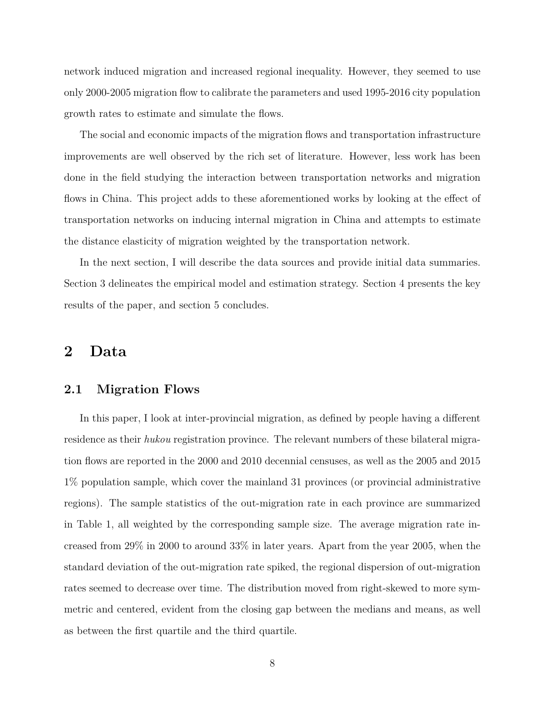network induced migration and increased regional inequality. However, they seemed to use only 2000-2005 migration flow to calibrate the parameters and used 1995-2016 city population growth rates to estimate and simulate the flows.

The social and economic impacts of the migration flows and transportation infrastructure improvements are well observed by the rich set of literature. However, less work has been done in the field studying the interaction between transportation networks and migration flows in China. This project adds to these aforementioned works by looking at the effect of transportation networks on inducing internal migration in China and attempts to estimate the distance elasticity of migration weighted by the transportation network.

In the next section, I will describe the data sources and provide initial data summaries. Section 3 delineates the empirical model and estimation strategy. Section 4 presents the key results of the paper, and section 5 concludes.

## **2 Data**

#### **2.1 Migration Flows**

In this paper, I look at inter-provincial migration, as defined by people having a different residence as their *hukou* registration province. The relevant numbers of these bilateral migration flows are reported in the 2000 and 2010 decennial censuses, as well as the 2005 and 2015 1% population sample, which cover the mainland 31 provinces (or provincial administrative regions). The sample statistics of the out-migration rate in each province are summarized in Table 1, all weighted by the corresponding sample size. The average migration rate increased from 29% in 2000 to around 33% in later years. Apart from the year 2005, when the standard deviation of the out-migration rate spiked, the regional dispersion of out-migration rates seemed to decrease over time. The distribution moved from right-skewed to more symmetric and centered, evident from the closing gap between the medians and means, as well as between the first quartile and the third quartile.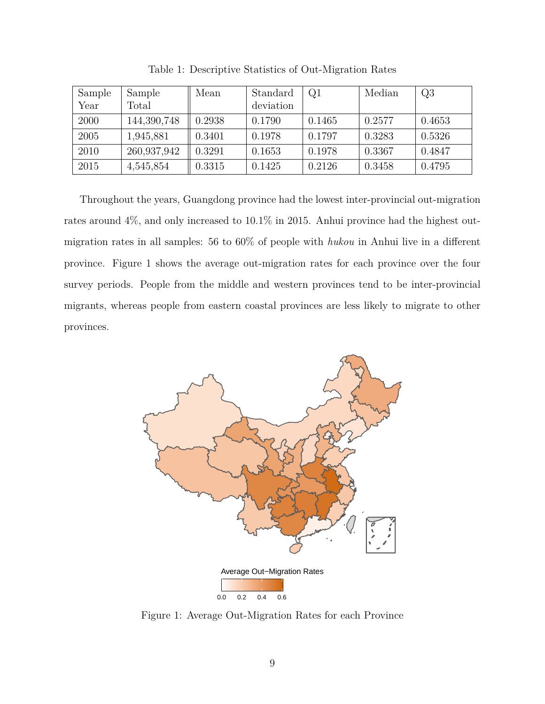| Sample | Sample      | Mean   | Standard  | Q1     | Median | Q3     |
|--------|-------------|--------|-----------|--------|--------|--------|
| Year   | Total       |        | deviation |        |        |        |
| 2000   | 144,390,748 | 0.2938 | 0.1790    | 0.1465 | 0.2577 | 0.4653 |
| 2005   | 1,945,881   | 0.3401 | 0.1978    | 0.1797 | 0.3283 | 0.5326 |
| 2010   | 260,937,942 | 0.3291 | 0.1653    | 0.1978 | 0.3367 | 0.4847 |
| 2015   | 4,545,854   | 0.3315 | 0.1425    | 0.2126 | 0.3458 | 0.4795 |

Table 1: Descriptive Statistics of Out-Migration Rates

Throughout the years, Guangdong province had the lowest inter-provincial out-migration rates around 4%, and only increased to 10.1% in 2015. Anhui province had the highest outmigration rates in all samples: 56 to 60% of people with *hukou* in Anhui live in a different province. Figure 1 shows the average out-migration rates for each province over the four survey periods. People from the middle and western provinces tend to be inter-provincial migrants, whereas people from eastern coastal provinces are less likely to migrate to other provinces.



Figure 1: Average Out-Migration Rates for each Province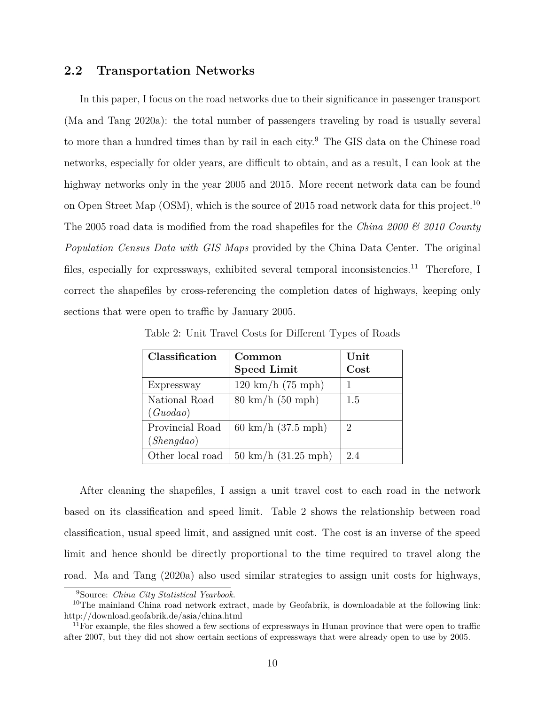## **2.2 Transportation Networks**

In this paper, I focus on the road networks due to their significance in passenger transport (Ma and Tang 2020a): the total number of passengers traveling by road is usually several to more than a hundred times than by rail in each city.<sup>9</sup> The GIS data on the Chinese road networks, especially for older years, are difficult to obtain, and as a result, I can look at the highway networks only in the year 2005 and 2015. More recent network data can be found on Open Street Map (OSM), which is the source of 2015 road network data for this project.<sup>10</sup> The 2005 road data is modified from the road shapefiles for the *China 2000 & 2010 County Population Census Data with GIS Maps* provided by the China Data Center. The original files, especially for expressways, exhibited several temporal inconsistencies.<sup>11</sup> Therefore, I correct the shapefiles by cross-referencing the completion dates of highways, keeping only sections that were open to traffic by January 2005.

| Classification                | Common<br><b>Speed Limit</b>        | Unit<br>Cost |
|-------------------------------|-------------------------------------|--------------|
| Expressway                    | $120 \text{ km/h} (75 \text{ mph})$ |              |
| National Road<br>(Guodao)     | $80 \text{ km/h} (50 \text{ mph})$  | 1.5          |
| Provincial Road<br>(Shengdao) | 60 km/h $(37.5 \text{ mph})$        | 2            |
| Other local road              | $50 \text{ km/h}$ (31.25 mph)       | 2.4          |

Table 2: Unit Travel Costs for Different Types of Roads

After cleaning the shapefiles, I assign a unit travel cost to each road in the network based on its classification and speed limit. Table 2 shows the relationship between road classification, usual speed limit, and assigned unit cost. The cost is an inverse of the speed limit and hence should be directly proportional to the time required to travel along the road. Ma and Tang (2020a) also used similar strategies to assign unit costs for highways,

<sup>9</sup>Source: *China City Statistical Yearbook*.

<sup>&</sup>lt;sup>10</sup>The mainland China road network extract, made by Geofabrik, is downloadable at the following link: http://download.geofabrik.de/asia/china.html

 $11F$ or example, the files showed a few sections of expressways in Hunan province that were open to traffic after 2007, but they did not show certain sections of expressways that were already open to use by 2005.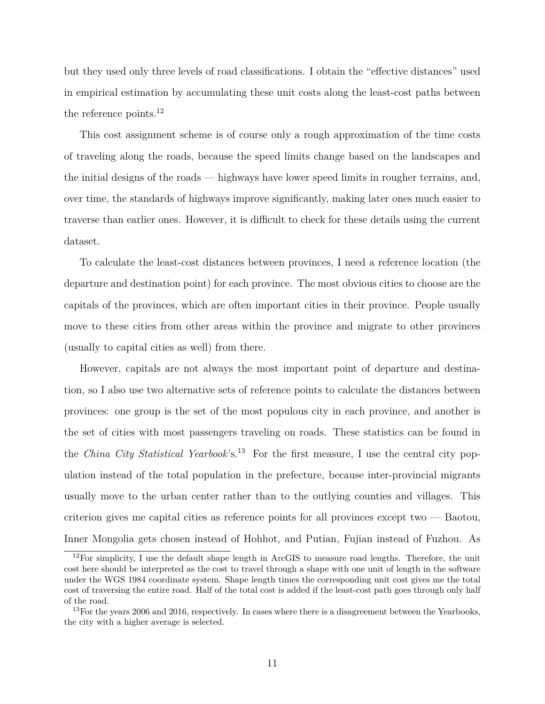but they used only three levels of road classifications. I obtain the "effective distances" used in empirical estimation by accumulating these unit costs along the least-cost paths between the reference points.<sup>12</sup>

This cost assignment scheme is of course only a rough approximation of the time costs of traveling along the roads, because the speed limits change based on the landscapes and the initial designs of the roads — highways have lower speed limits in rougher terrains, and, over time, the standards of highways improve significantly, making later ones much easier to traverse than earlier ones. However, it is difficult to check for these details using the current dataset.

To calculate the least-cost distances between provinces, I need a reference location (the departure and destination point) for each province. The most obvious cities to choose are the capitals of the provinces, which are often important cities in their province. People usually move to these cities from other areas within the province and migrate to other provinces (usually to capital cities as well) from there.

However, capitals are not always the most important point of departure and destination, so I also use two alternative sets of reference points to calculate the distances between provinces: one group is the set of the most populous city in each province, and another is the set of cities with most passengers traveling on roads. These statistics can be found in the *China City Statistical Yearbook*'s.<sup>13</sup> For the first measure, I use the central city population instead of the total population in the prefecture, because inter-provincial migrants usually move to the urban center rather than to the outlying counties and villages. This criterion gives me capital cities as reference points for all provinces except two — Baotou, Inner Mongolia gets chosen instead of Hohhot, and Putian, Fujian instead of Fuzhou. As

 $12$ For simplicity, I use the default shape length in ArcGIS to measure road lengths. Therefore, the unit cost here should be interpreted as the cost to travel through a shape with one unit of length in the software under the WGS 1984 coordinate system. Shape length times the corresponding unit cost gives me the total cost of traversing the entire road. Half of the total cost is added if the least-cost path goes through only half of the road.

<sup>&</sup>lt;sup>13</sup>For the years 2006 and 2016, respectively. In cases where there is a disagreement between the Yearbooks, the city with a higher average is selected.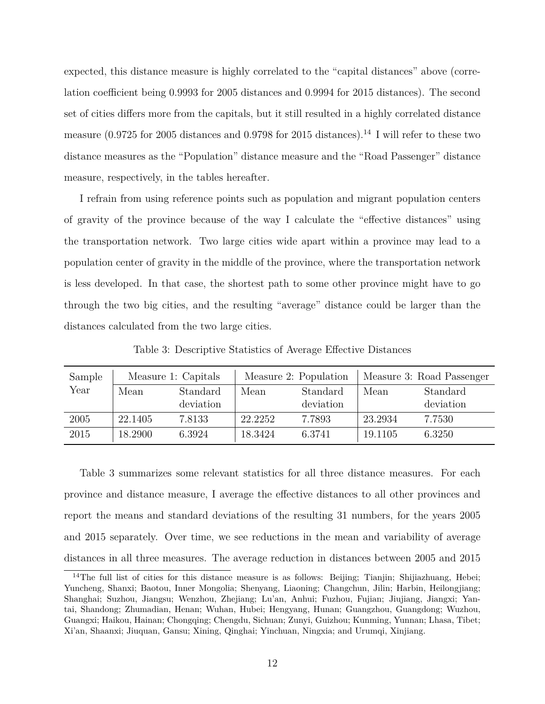expected, this distance measure is highly correlated to the "capital distances" above (correlation coefficient being 0.9993 for 2005 distances and 0.9994 for 2015 distances). The second set of cities differs more from the capitals, but it still resulted in a highly correlated distance measure (0.9725 for 2005 distances and 0.9798 for 2015 distances).<sup>14</sup> I will refer to these two distance measures as the "Population" distance measure and the "Road Passenger" distance measure, respectively, in the tables hereafter.

I refrain from using reference points such as population and migrant population centers of gravity of the province because of the way I calculate the "effective distances" using the transportation network. Two large cities wide apart within a province may lead to a population center of gravity in the middle of the province, where the transportation network is less developed. In that case, the shortest path to some other province might have to go through the two big cities, and the resulting "average" distance could be larger than the distances calculated from the two large cities.

Sample Year Measure 1: Capitals | Measure 2: Population | Measure 3: Road Passenger Mean Standard deviation Mean Standard deviation Mean Standard deviation 2005 22.1405 7.8133 22.2252 7.7893 23.2934 7.7530 2015 18.2900 6.3924 18.3424 6.3741 19.1105 6.3250

Table 3: Descriptive Statistics of Average Effective Distances

Table 3 summarizes some relevant statistics for all three distance measures. For each province and distance measure, I average the effective distances to all other provinces and report the means and standard deviations of the resulting 31 numbers, for the years 2005 and 2015 separately. Over time, we see reductions in the mean and variability of average distances in all three measures. The average reduction in distances between 2005 and 2015

<sup>&</sup>lt;sup>14</sup>The full list of cities for this distance measure is as follows: Beijing; Tianjin; Shijiazhuang, Hebei; Yuncheng, Shanxi; Baotou, Inner Mongolia; Shenyang, Liaoning; Changchun, Jilin; Harbin, Heilongjiang; Shanghai; Suzhou, Jiangsu; Wenzhou, Zhejiang; Lu'an, Anhui; Fuzhou, Fujian; Jiujiang, Jiangxi; Yantai, Shandong; Zhumadian, Henan; Wuhan, Hubei; Hengyang, Hunan; Guangzhou, Guangdong; Wuzhou, Guangxi; Haikou, Hainan; Chongqing; Chengdu, Sichuan; Zunyi, Guizhou; Kunming, Yunnan; Lhasa, Tibet; Xi'an, Shaanxi; Jiuquan, Gansu; Xining, Qinghai; Yinchuan, Ningxia; and Urumqi, Xinjiang.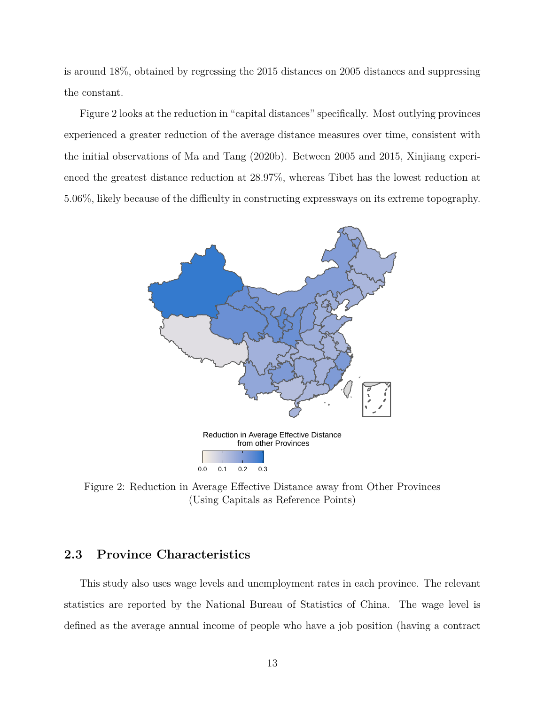is around 18%, obtained by regressing the 2015 distances on 2005 distances and suppressing the constant.

Figure 2 looks at the reduction in "capital distances" specifically. Most outlying provinces experienced a greater reduction of the average distance measures over time, consistent with the initial observations of Ma and Tang (2020b). Between 2005 and 2015, Xinjiang experienced the greatest distance reduction at 28.97%, whereas Tibet has the lowest reduction at 5.06%, likely because of the difficulty in constructing expressways on its extreme topography.



Figure 2: Reduction in Average Effective Distance away from Other Provinces (Using Capitals as Reference Points)

## **2.3 Province Characteristics**

This study also uses wage levels and unemployment rates in each province. The relevant statistics are reported by the National Bureau of Statistics of China. The wage level is defined as the average annual income of people who have a job position (having a contract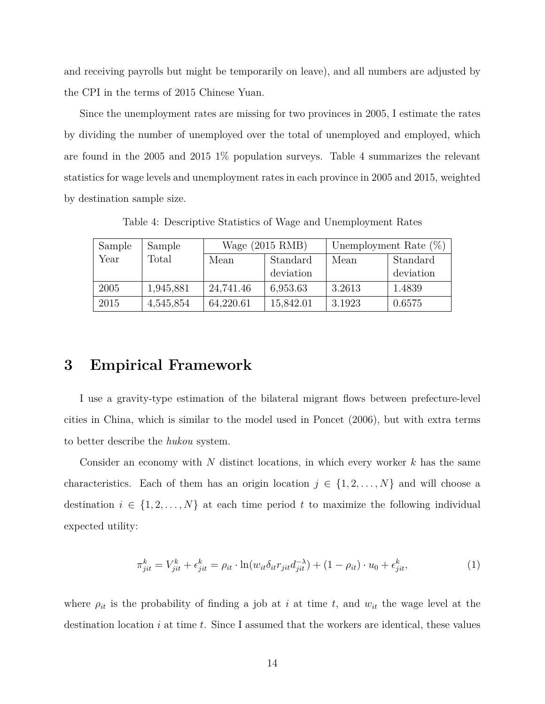and receiving payrolls but might be temporarily on leave), and all numbers are adjusted by the CPI in the terms of 2015 Chinese Yuan.

Since the unemployment rates are missing for two provinces in 2005, I estimate the rates by dividing the number of unemployed over the total of unemployed and employed, which are found in the 2005 and 2015 1% population surveys. Table 4 summarizes the relevant statistics for wage levels and unemployment rates in each province in 2005 and 2015, weighted by destination sample size.

Table 4: Descriptive Statistics of Wage and Unemployment Rates

| Sample | Sample    | Wage $(2015$ RMB) |           | Unemployment Rate $(\%)$ |           |  |
|--------|-----------|-------------------|-----------|--------------------------|-----------|--|
| Year   | Total     | Standard<br>Mean  |           | Mean                     | Standard  |  |
|        |           |                   | deviation |                          | deviation |  |
| 2005   | 1,945,881 | 24,741.46         | 6,953.63  | 3.2613                   | 1.4839    |  |
| 2015   | 4,545,854 | 64,220.61         | 15,842.01 | 3.1923                   | 0.6575    |  |

# **3 Empirical Framework**

I use a gravity-type estimation of the bilateral migrant flows between prefecture-level cities in China, which is similar to the model used in Poncet (2006), but with extra terms to better describe the *hukou* system.

Consider an economy with *N* distinct locations, in which every worker *k* has the same characteristics. Each of them has an origin location  $j \in \{1, 2, ..., N\}$  and will choose a destination  $i \in \{1, 2, ..., N\}$  at each time period  $t$  to maximize the following individual expected utility:

$$
\pi_{jit}^k = V_{jit}^k + \epsilon_{jit}^k = \rho_{it} \cdot \ln(w_{it} \delta_{it} r_{jit} d_{jit}^{-\lambda}) + (1 - \rho_{it}) \cdot u_0 + \epsilon_{jit}^k,
$$
\n(1)

where  $\rho_{it}$  is the probability of finding a job at *i* at time *t*, and  $w_{it}$  the wage level at the destination location *i* at time *t*. Since I assumed that the workers are identical, these values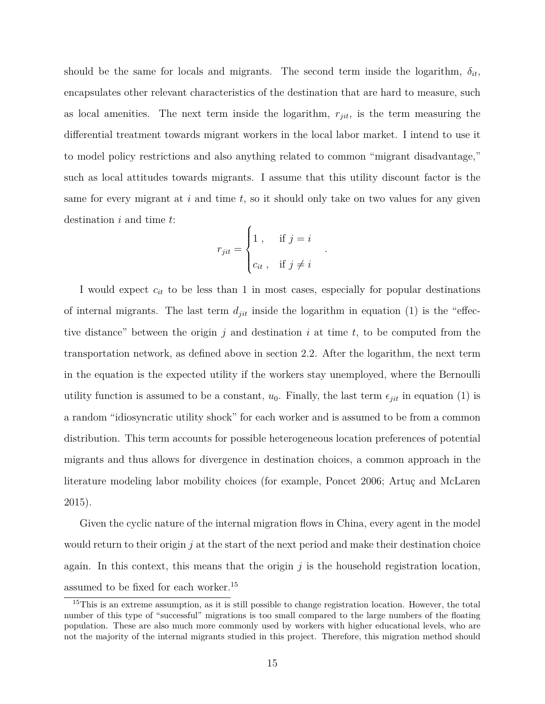should be the same for locals and migrants. The second term inside the logarithm,  $\delta_{it}$ , encapsulates other relevant characteristics of the destination that are hard to measure, such as local amenities. The next term inside the logarithm, *rjit*, is the term measuring the differential treatment towards migrant workers in the local labor market. I intend to use it to model policy restrictions and also anything related to common "migrant disadvantage," such as local attitudes towards migrants. I assume that this utility discount factor is the same for every migrant at *i* and time *t*, so it should only take on two values for any given destination *i* and time *t*:

$$
r_{jit} = \begin{cases} 1, & \text{if } j = i \\ c_{it}, & \text{if } j \neq i \end{cases}
$$

*.*

I would expect *cit* to be less than 1 in most cases, especially for popular destinations of internal migrants. The last term  $d_{jit}$  inside the logarithm in equation (1) is the "effective distance" between the origin *j* and destination *i* at time *t*, to be computed from the transportation network, as defined above in section 2.2. After the logarithm, the next term in the equation is the expected utility if the workers stay unemployed, where the Bernoulli utility function is assumed to be a constant,  $u_0$ . Finally, the last term  $\epsilon_{jit}$  in equation (1) is a random "idiosyncratic utility shock" for each worker and is assumed to be from a common distribution. This term accounts for possible heterogeneous location preferences of potential migrants and thus allows for divergence in destination choices, a common approach in the literature modeling labor mobility choices (for example, Poncet 2006; Artuç and McLaren 2015).

Given the cyclic nature of the internal migration flows in China, every agent in the model would return to their origin *j* at the start of the next period and make their destination choice again. In this context, this means that the origin *j* is the household registration location, assumed to be fixed for each worker.<sup>15</sup>

<sup>&</sup>lt;sup>15</sup>This is an extreme assumption, as it is still possible to change registration location. However, the total number of this type of "successful" migrations is too small compared to the large numbers of the floating population. These are also much more commonly used by workers with higher educational levels, who are not the majority of the internal migrants studied in this project. Therefore, this migration method should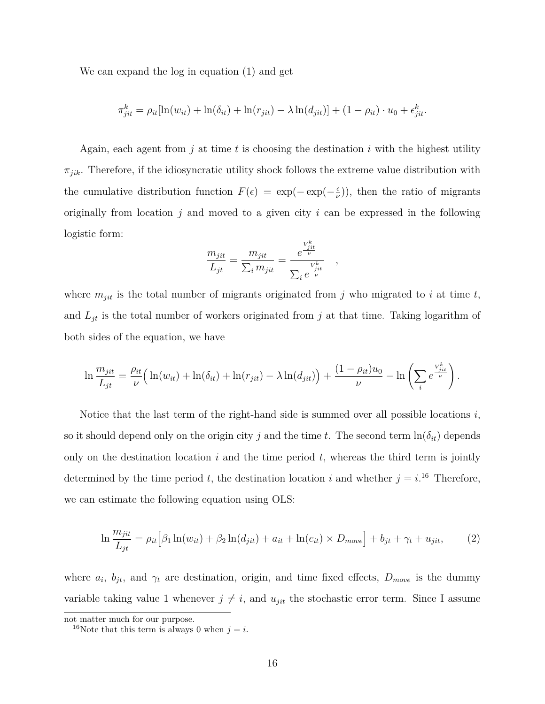We can expand the log in equation (1) and get

$$
\pi_{jit}^k = \rho_{it}[\ln(w_{it}) + \ln(\delta_{it}) + \ln(r_{jit}) - \lambda \ln(d_{jit})] + (1 - \rho_{it}) \cdot u_0 + \epsilon_{jit}^k.
$$

Again, each agent from *j* at time *t* is choosing the destination *i* with the highest utility  $\pi_{jik}$ . Therefore, if the idiosyncratic utility shock follows the extreme value distribution with the cumulative distribution function  $F(\epsilon) = \exp(-\exp(-\frac{\epsilon}{\mu})$  $(\frac{\epsilon}{\nu})$ , then the ratio of migrants originally from location *j* and moved to a given city *i* can be expressed in the following logistic form:

$$
\frac{m_{jit}}{L_{jt}} = \frac{m_{jit}}{\sum_i m_{jit}} = \frac{e^{\frac{V_{jit}^k}{\nu}}}{\sum_i e^{\frac{V_{jit}^k}{\nu}}}
$$

*,*

where  $m_{jit}$  is the total number of migrants originated from  $j$  who migrated to  $i$  at time  $t$ , and  $L_{jt}$  is the total number of workers originated from  $j$  at that time. Taking logarithm of both sides of the equation, we have

$$
\ln \frac{m_{jit}}{L_{jt}} = \frac{\rho_{it}}{\nu} \Big( \ln(w_{it}) + \ln(\delta_{it}) + \ln(r_{jit}) - \lambda \ln(d_{jit}) \Big) + \frac{(1 - \rho_{it})u_0}{\nu} - \ln \left( \sum_i e^{\frac{V_{jit}^k}{\nu}} \right).
$$

Notice that the last term of the right-hand side is summed over all possible locations *i*, so it should depend only on the origin city *j* and the time *t*. The second term  $\ln(\delta_{it})$  depends only on the destination location *i* and the time period *t*, whereas the third term is jointly determined by the time period *t*, the destination location *i* and whether  $j = i$ <sup>16</sup> Therefore, we can estimate the following equation using OLS:

$$
\ln \frac{m_{jit}}{L_{jt}} = \rho_{it} \Big[ \beta_1 \ln(w_{it}) + \beta_2 \ln(d_{jit}) + a_{it} + \ln(c_{it}) \times D_{move} \Big] + b_{jt} + \gamma_t + u_{jit}, \tag{2}
$$

where  $a_i$ ,  $b_{jt}$ , and  $\gamma_t$  are destination, origin, and time fixed effects,  $D_{move}$  is the dummy variable taking value 1 whenever  $j \neq i$ , and  $u_{jit}$  the stochastic error term. Since I assume

not matter much for our purpose.

<sup>&</sup>lt;sup>16</sup>Note that this term is always 0 when  $j = i$ .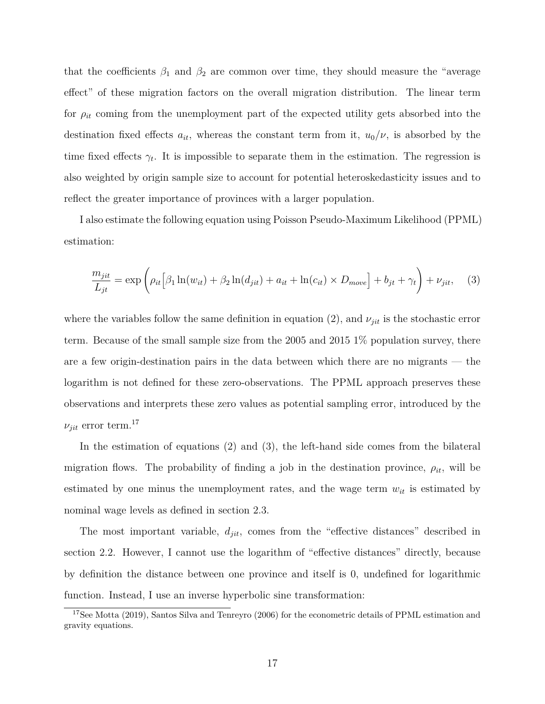that the coefficients  $\beta_1$  and  $\beta_2$  are common over time, they should measure the "average" effect" of these migration factors on the overall migration distribution. The linear term for  $\rho_{it}$  coming from the unemployment part of the expected utility gets absorbed into the destination fixed effects  $a_{it}$ , whereas the constant term from it,  $u_0/\nu$ , is absorbed by the time fixed effects  $\gamma_t$ . It is impossible to separate them in the estimation. The regression is also weighted by origin sample size to account for potential heteroskedasticity issues and to reflect the greater importance of provinces with a larger population.

I also estimate the following equation using Poisson Pseudo-Maximum Likelihood (PPML) estimation:

$$
\frac{m_{jit}}{L_{jt}} = \exp\left(\rho_{it}\left[\beta_1 \ln(w_{it}) + \beta_2 \ln(d_{jit}) + a_{it} + \ln(c_{it}) \times D_{move}\right] + b_{jt} + \gamma_t\right) + \nu_{jit}, \quad (3)
$$

where the variables follow the same definition in equation (2), and  $\nu_{jit}$  is the stochastic error term. Because of the small sample size from the 2005 and 2015 1% population survey, there are a few origin-destination pairs in the data between which there are no migrants — the logarithm is not defined for these zero-observations. The PPML approach preserves these observations and interprets these zero values as potential sampling error, introduced by the  $\nu_{jit}$  error term.<sup>17</sup>

In the estimation of equations (2) and (3), the left-hand side comes from the bilateral migration flows. The probability of finding a job in the destination province,  $\rho_{it}$ , will be estimated by one minus the unemployment rates, and the wage term  $w_{it}$  is estimated by nominal wage levels as defined in section 2.3.

The most important variable, *djit*, comes from the "effective distances" described in section 2.2. However, I cannot use the logarithm of "effective distances" directly, because by definition the distance between one province and itself is 0, undefined for logarithmic function. Instead, I use an inverse hyperbolic sine transformation:

<sup>&</sup>lt;sup>17</sup>See Motta (2019), Santos Silva and Tenreyro (2006) for the econometric details of PPML estimation and gravity equations.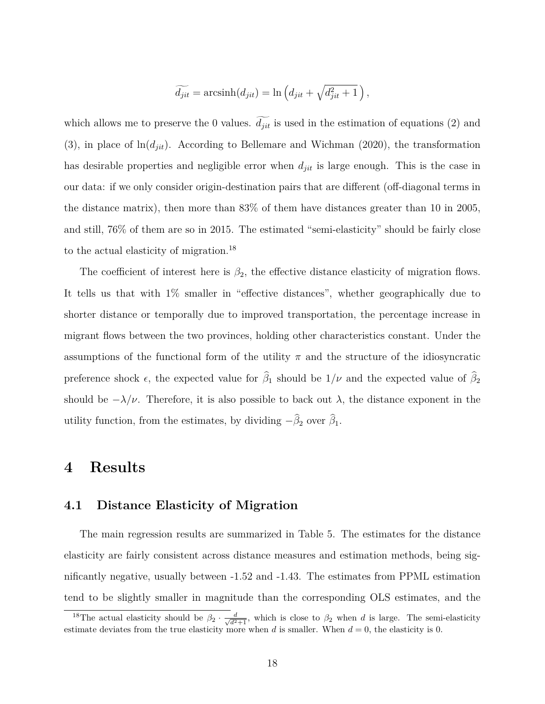$$
\widetilde{d_{jit}} = \operatorname{arcsinh}(d_{jit}) = \ln \left( d_{jit} + \sqrt{d_{jit}^2 + 1} \right),\,
$$

which allows me to preserve the 0 values.  $\widetilde{d_{jit}}$  is used in the estimation of equations (2) and  $(3)$ , in place of  $\ln(d_{jit})$ . According to Bellemare and Wichman (2020), the transformation has desirable properties and negligible error when *djit* is large enough. This is the case in our data: if we only consider origin-destination pairs that are different (off-diagonal terms in the distance matrix), then more than 83% of them have distances greater than 10 in 2005, and still, 76% of them are so in 2015. The estimated "semi-elasticity" should be fairly close to the actual elasticity of migration.<sup>18</sup>

The coefficient of interest here is  $\beta_2$ , the effective distance elasticity of migration flows. It tells us that with 1% smaller in "effective distances", whether geographically due to shorter distance or temporally due to improved transportation, the percentage increase in migrant flows between the two provinces, holding other characteristics constant. Under the assumptions of the functional form of the utility  $\pi$  and the structure of the idiosyncratic preference shock  $\epsilon$ , the expected value for  $\hat{\beta}_1$  should be  $1/\nu$  and the expected value of  $\hat{\beta}_2$ should be  $-\lambda/\nu$ . Therefore, it is also possible to back out  $\lambda$ , the distance exponent in the utility function, from the estimates, by dividing  $-\hat{\beta}_2$  over  $\hat{\beta}_1$ .

## **4 Results**

## **4.1 Distance Elasticity of Migration**

The main regression results are summarized in Table 5. The estimates for the distance elasticity are fairly consistent across distance measures and estimation methods, being significantly negative, usually between -1.52 and -1.43. The estimates from PPML estimation tend to be slightly smaller in magnitude than the corresponding OLS estimates, and the

<sup>&</sup>lt;sup>18</sup>The actual elasticity should be  $\beta_2 \cdot \frac{d}{\sqrt{d^2+1}}$ , which is close to  $\beta_2$  when *d* is large. The semi-elasticity estimate deviates from the true elasticity more when  $d$  is smaller. When  $d = 0$ , the elasticity is 0.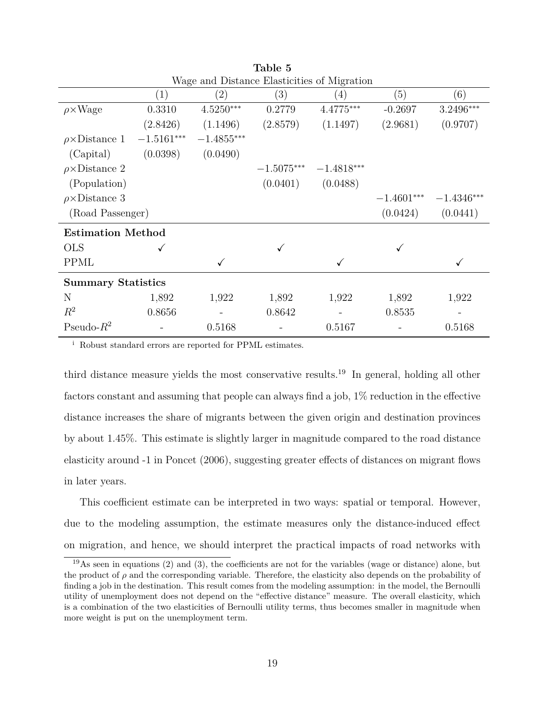| wage and Distance Elasticities of Migration |                   |              |              |              |              |              |  |  |
|---------------------------------------------|-------------------|--------------|--------------|--------------|--------------|--------------|--|--|
|                                             | $\left( 1\right)$ | (2)          | (3)          | (4)          | (5)          | (6)          |  |  |
| $\rho \times Wage$                          | 0.3310            | $4.5250***$  | 0.2779       | $4.4775***$  | $-0.2697$    | 3.2496***    |  |  |
|                                             | (2.8426)          | (1.1496)     | (2.8579)     | (1.1497)     | (2.9681)     | (0.9707)     |  |  |
| $\rho \times \text{Distance} 1$             | $-1.5161***$      | $-1.4855***$ |              |              |              |              |  |  |
| (Capital)                                   | (0.0398)          | (0.0490)     |              |              |              |              |  |  |
| $\rho \times \text{Distance} 2$             |                   |              | $-1.5075***$ | $-1.4818***$ |              |              |  |  |
| (Population)                                |                   |              | (0.0401)     | (0.0488)     |              |              |  |  |
| $\rho \times \text{Distance}$ 3             |                   |              |              |              | $-1.4601***$ | $-1.4346***$ |  |  |
| (Road Passenger)                            |                   |              |              |              | (0.0424)     | (0.0441)     |  |  |
| <b>Estimation Method</b>                    |                   |              |              |              |              |              |  |  |
| <b>OLS</b>                                  |                   |              |              |              |              |              |  |  |
| <b>PPML</b>                                 |                   | $\checkmark$ |              | $\checkmark$ |              |              |  |  |
| <b>Summary Statistics</b>                   |                   |              |              |              |              |              |  |  |
| N                                           | 1,892             | 1,922        | 1,892        | 1,922        | 1,892        | 1,922        |  |  |
| $R^2$                                       | 0.8656            |              | 0.8642       |              | 0.8535       |              |  |  |
| Pseudo- $R^2$                               |                   | 0.5168       |              | 0.5167       |              | 0.5168       |  |  |
|                                             |                   |              |              |              |              |              |  |  |

**Table 5** Wage and Distance Elasticities of Migration

<sup>i</sup> Robust standard errors are reported for PPML estimates.

third distance measure yields the most conservative results.<sup>19</sup> In general, holding all other factors constant and assuming that people can always find a job, 1% reduction in the effective distance increases the share of migrants between the given origin and destination provinces by about 1.45%. This estimate is slightly larger in magnitude compared to the road distance elasticity around -1 in Poncet (2006), suggesting greater effects of distances on migrant flows in later years.

This coefficient estimate can be interpreted in two ways: spatial or temporal. However, due to the modeling assumption, the estimate measures only the distance-induced effect on migration, and hence, we should interpret the practical impacts of road networks with

 $19\text{As}$  seen in equations (2) and (3), the coefficients are not for the variables (wage or distance) alone, but the product of *ρ* and the corresponding variable. Therefore, the elasticity also depends on the probability of finding a job in the destination. This result comes from the modeling assumption: in the model, the Bernoulli utility of unemployment does not depend on the "effective distance" measure. The overall elasticity, which is a combination of the two elasticities of Bernoulli utility terms, thus becomes smaller in magnitude when more weight is put on the unemployment term.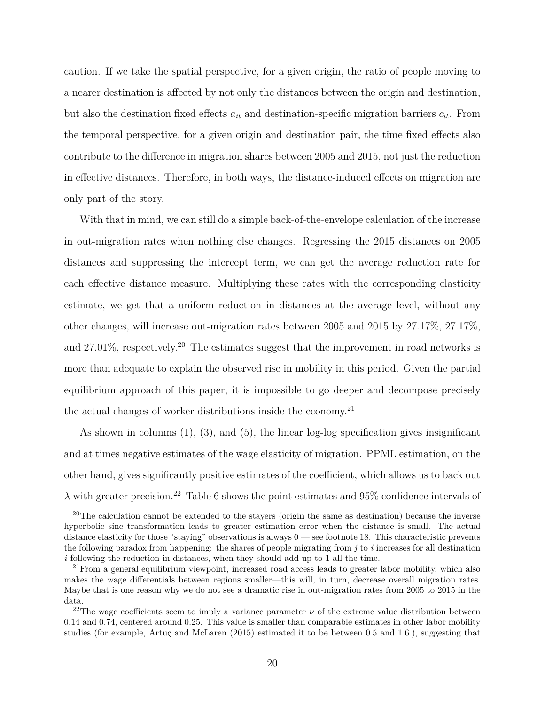caution. If we take the spatial perspective, for a given origin, the ratio of people moving to a nearer destination is affected by not only the distances between the origin and destination, but also the destination fixed effects  $a_{it}$  and destination-specific migration barriers  $c_{it}$ . From the temporal perspective, for a given origin and destination pair, the time fixed effects also contribute to the difference in migration shares between 2005 and 2015, not just the reduction in effective distances. Therefore, in both ways, the distance-induced effects on migration are only part of the story.

With that in mind, we can still do a simple back-of-the-envelope calculation of the increase in out-migration rates when nothing else changes. Regressing the 2015 distances on 2005 distances and suppressing the intercept term, we can get the average reduction rate for each effective distance measure. Multiplying these rates with the corresponding elasticity estimate, we get that a uniform reduction in distances at the average level, without any other changes, will increase out-migration rates between 2005 and 2015 by 27.17%, 27.17%, and  $27.01\%$ , respectively.<sup>20</sup> The estimates suggest that the improvement in road networks is more than adequate to explain the observed rise in mobility in this period. Given the partial equilibrium approach of this paper, it is impossible to go deeper and decompose precisely the actual changes of worker distributions inside the economy.<sup>21</sup>

As shown in columns (1), (3), and (5), the linear log-log specification gives insignificant and at times negative estimates of the wage elasticity of migration. PPML estimation, on the other hand, gives significantly positive estimates of the coefficient, which allows us to back out  $\lambda$  with greater precision.<sup>22</sup> Table 6 shows the point estimates and 95% confidence intervals of

<sup>&</sup>lt;sup>20</sup>The calculation cannot be extended to the stayers (origin the same as destination) because the inverse hyperbolic sine transformation leads to greater estimation error when the distance is small. The actual distance elasticity for those "staying" observations is always 0 — see footnote 18. This characteristic prevents the following paradox from happening: the shares of people migrating from *j* to *i* increases for all destination *i* following the reduction in distances, when they should add up to 1 all the time.

 $21$  From a general equilibrium viewpoint, increased road access leads to greater labor mobility, which also makes the wage differentials between regions smaller—this will, in turn, decrease overall migration rates. Maybe that is one reason why we do not see a dramatic rise in out-migration rates from 2005 to 2015 in the data.

<sup>&</sup>lt;sup>22</sup>The wage coefficients seem to imply a variance parameter  $\nu$  of the extreme value distribution between 0.14 and 0.74, centered around 0.25. This value is smaller than comparable estimates in other labor mobility studies (for example, Artuç and McLaren  $(2015)$ ) estimated it to be between 0.5 and 1.6.), suggesting that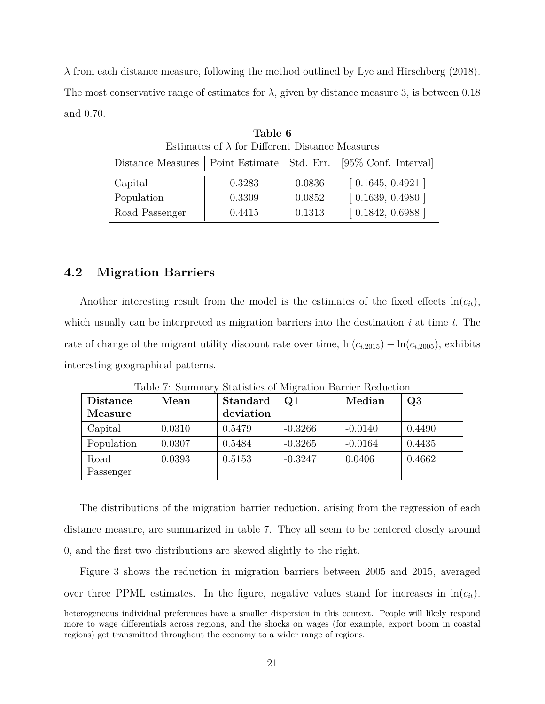*λ* from each distance measure, following the method outlined by Lye and Hirschberg (2018). The most conservative range of estimates for  $\lambda$ , given by distance measure 3, is between 0.18 and 0.70.

| Table 6                                                           |        |        |                  |  |  |  |
|-------------------------------------------------------------------|--------|--------|------------------|--|--|--|
| Estimates of $\lambda$ for Different Distance Measures            |        |        |                  |  |  |  |
| Distance Measures   Point Estimate Std. Err. [95% Conf. Interval] |        |        |                  |  |  |  |
| Capital                                                           | 0.3283 | 0.0836 | [0.1645, 0.4921] |  |  |  |
| Population                                                        | 0.3309 | 0.0852 | [0.1639, 0.4980] |  |  |  |
| Road Passenger                                                    | 0.4415 | 0.1313 | [0.1842, 0.6988] |  |  |  |

**4.2 Migration Barriers**

Another interesting result from the model is the estimates of the fixed effects  $ln(c_{it})$ , which usually can be interpreted as migration barriers into the destination *i* at time *t*. The rate of change of the migrant utility discount rate over time,  $\ln(c_{i,2015}) - \ln(c_{i,2005})$ , exhibits interesting geographical patterns.

| <b>Distance</b> | Mean   | <b>Standard</b> | Q1        | Median    | Q3     |
|-----------------|--------|-----------------|-----------|-----------|--------|
| Measure         |        | deviation       |           |           |        |
| Capital         | 0.0310 | 0.5479          | $-0.3266$ | $-0.0140$ | 0.4490 |
| Population      | 0.0307 | 0.5484          | $-0.3265$ | $-0.0164$ | 0.4435 |
| Road            | 0.0393 | 0.5153          | $-0.3247$ | 0.0406    | 0.4662 |
| Passenger       |        |                 |           |           |        |

Table 7: Summary Statistics of Migration Barrier Reduction

The distributions of the migration barrier reduction, arising from the regression of each distance measure, are summarized in table 7. They all seem to be centered closely around 0, and the first two distributions are skewed slightly to the right.

Figure 3 shows the reduction in migration barriers between 2005 and 2015, averaged over three PPML estimates. In the figure, negative values stand for increases in  $\ln(c_{it})$ .

heterogeneous individual preferences have a smaller dispersion in this context. People will likely respond more to wage differentials across regions, and the shocks on wages (for example, export boom in coastal regions) get transmitted throughout the economy to a wider range of regions.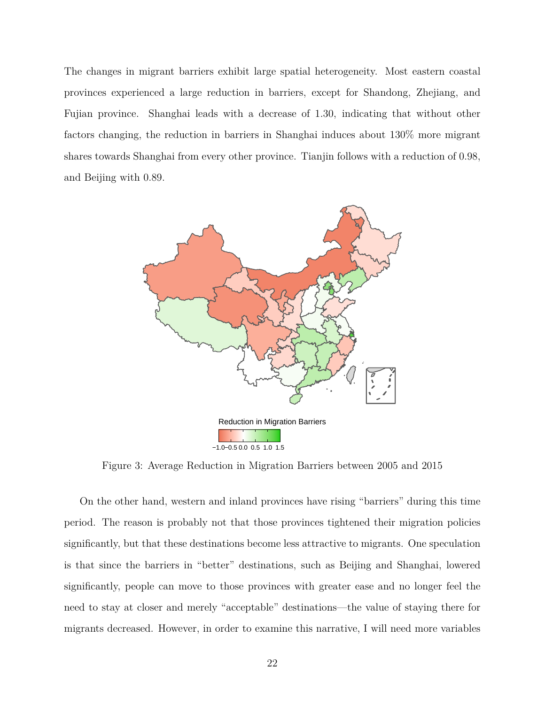The changes in migrant barriers exhibit large spatial heterogeneity. Most eastern coastal provinces experienced a large reduction in barriers, except for Shandong, Zhejiang, and Fujian province. Shanghai leads with a decrease of 1.30, indicating that without other factors changing, the reduction in barriers in Shanghai induces about 130% more migrant shares towards Shanghai from every other province. Tianjin follows with a reduction of 0.98, and Beijing with 0.89.



Figure 3: Average Reduction in Migration Barriers between 2005 and 2015

On the other hand, western and inland provinces have rising "barriers" during this time period. The reason is probably not that those provinces tightened their migration policies significantly, but that these destinations become less attractive to migrants. One speculation is that since the barriers in "better" destinations, such as Beijing and Shanghai, lowered significantly, people can move to those provinces with greater ease and no longer feel the need to stay at closer and merely "acceptable" destinations—the value of staying there for migrants decreased. However, in order to examine this narrative, I will need more variables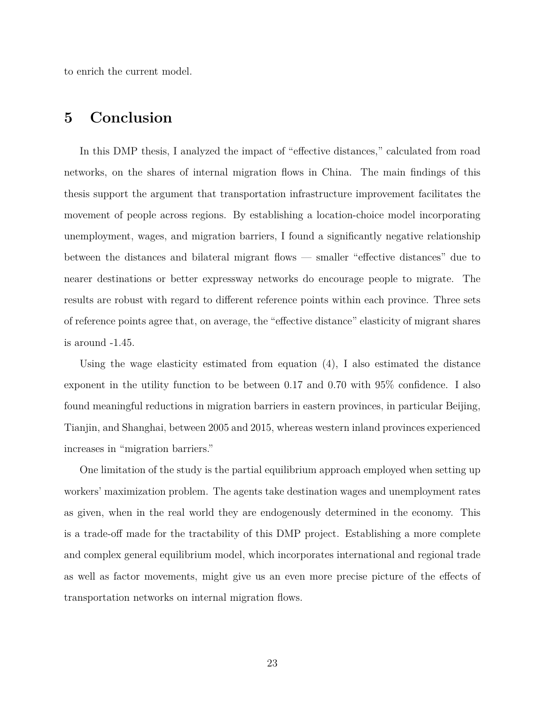to enrich the current model.

# **5 Conclusion**

In this DMP thesis, I analyzed the impact of "effective distances," calculated from road networks, on the shares of internal migration flows in China. The main findings of this thesis support the argument that transportation infrastructure improvement facilitates the movement of people across regions. By establishing a location-choice model incorporating unemployment, wages, and migration barriers, I found a significantly negative relationship between the distances and bilateral migrant flows — smaller "effective distances" due to nearer destinations or better expressway networks do encourage people to migrate. The results are robust with regard to different reference points within each province. Three sets of reference points agree that, on average, the "effective distance" elasticity of migrant shares is around -1.45.

Using the wage elasticity estimated from equation (4), I also estimated the distance exponent in the utility function to be between 0.17 and 0.70 with 95% confidence. I also found meaningful reductions in migration barriers in eastern provinces, in particular Beijing, Tianjin, and Shanghai, between 2005 and 2015, whereas western inland provinces experienced increases in "migration barriers."

One limitation of the study is the partial equilibrium approach employed when setting up workers' maximization problem. The agents take destination wages and unemployment rates as given, when in the real world they are endogenously determined in the economy. This is a trade-off made for the tractability of this DMP project. Establishing a more complete and complex general equilibrium model, which incorporates international and regional trade as well as factor movements, might give us an even more precise picture of the effects of transportation networks on internal migration flows.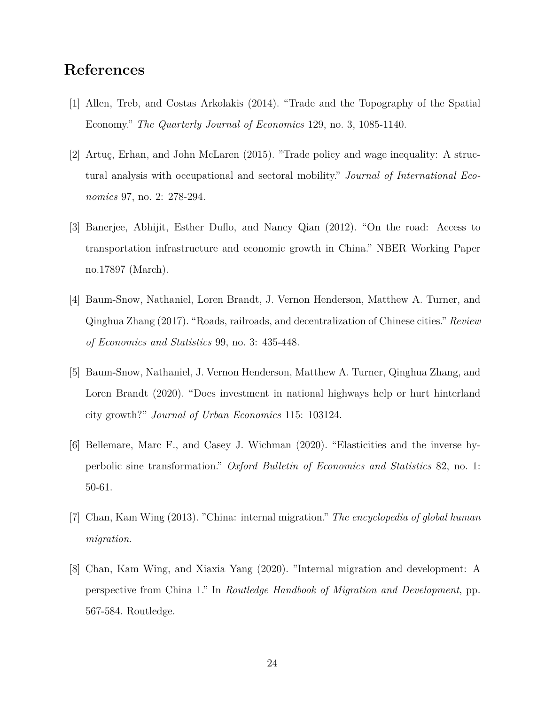# **References**

- [1] Allen, Treb, and Costas Arkolakis (2014). "Trade and the Topography of the Spatial Economy." *The Quarterly Journal of Economics* 129, no. 3, 1085-1140.
- [2] Artuç, Erhan, and John McLaren (2015). "Trade policy and wage inequality: A structural analysis with occupational and sectoral mobility." *Journal of International Economics* 97, no. 2: 278-294.
- [3] Banerjee, Abhijit, Esther Duflo, and Nancy Qian (2012). "On the road: Access to transportation infrastructure and economic growth in China." NBER Working Paper no.17897 (March).
- [4] Baum-Snow, Nathaniel, Loren Brandt, J. Vernon Henderson, Matthew A. Turner, and Qinghua Zhang (2017). "Roads, railroads, and decentralization of Chinese cities." *Review of Economics and Statistics* 99, no. 3: 435-448.
- [5] Baum-Snow, Nathaniel, J. Vernon Henderson, Matthew A. Turner, Qinghua Zhang, and Loren Brandt (2020). "Does investment in national highways help or hurt hinterland city growth?" *Journal of Urban Economics* 115: 103124.
- [6] Bellemare, Marc F., and Casey J. Wichman (2020). "Elasticities and the inverse hyperbolic sine transformation." *Oxford Bulletin of Economics and Statistics* 82, no. 1: 50-61.
- [7] Chan, Kam Wing (2013). "China: internal migration." *The encyclopedia of global human migration*.
- [8] Chan, Kam Wing, and Xiaxia Yang (2020). "Internal migration and development: A perspective from China 1." In *Routledge Handbook of Migration and Development*, pp. 567-584. Routledge.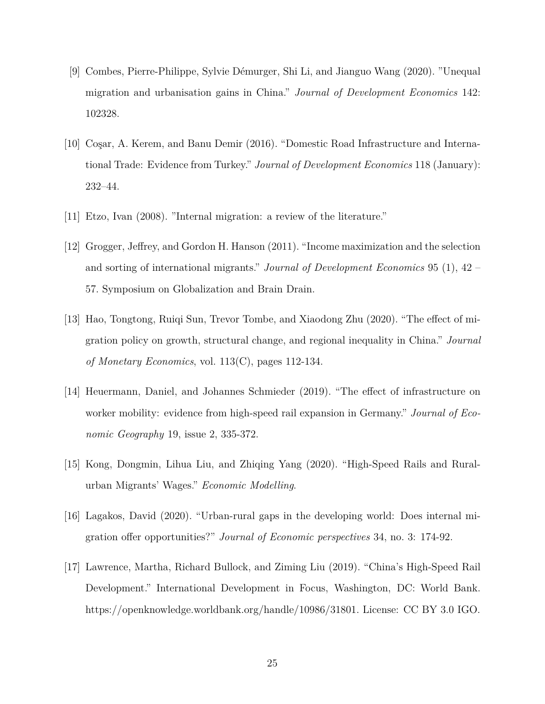- [9] Combes, Pierre-Philippe, Sylvie D´emurger, Shi Li, and Jianguo Wang (2020). "Unequal migration and urbanisation gains in China." *Journal of Development Economics* 142: 102328.
- [10] Coşar, A. Kerem, and Banu Demir (2016). "Domestic Road Infrastructure and International Trade: Evidence from Turkey." *Journal of Development Economics* 118 (January): 232–44.
- [11] Etzo, Ivan (2008). "Internal migration: a review of the literature."
- [12] Grogger, Jeffrey, and Gordon H. Hanson (2011). "Income maximization and the selection and sorting of international migrants." *Journal of Development Economics* 95 (1), 42 – 57. Symposium on Globalization and Brain Drain.
- [13] Hao, Tongtong, Ruiqi Sun, Trevor Tombe, and Xiaodong Zhu (2020). "The effect of migration policy on growth, structural change, and regional inequality in China." *Journal of Monetary Economics*, vol. 113(C), pages 112-134.
- [14] Heuermann, Daniel, and Johannes Schmieder (2019). "The effect of infrastructure on worker mobility: evidence from high-speed rail expansion in Germany." *Journal of Economic Geography* 19, issue 2, 335-372.
- [15] Kong, Dongmin, Lihua Liu, and Zhiqing Yang (2020). "High-Speed Rails and Ruralurban Migrants' Wages." *Economic Modelling*.
- [16] Lagakos, David (2020). "Urban-rural gaps in the developing world: Does internal migration offer opportunities?" *Journal of Economic perspectives* 34, no. 3: 174-92.
- [17] Lawrence, Martha, Richard Bullock, and Ziming Liu (2019). "China's High-Speed Rail Development." International Development in Focus, Washington, DC: World Bank. https://openknowledge.worldbank.org/handle/10986/31801. License: CC BY 3.0 IGO.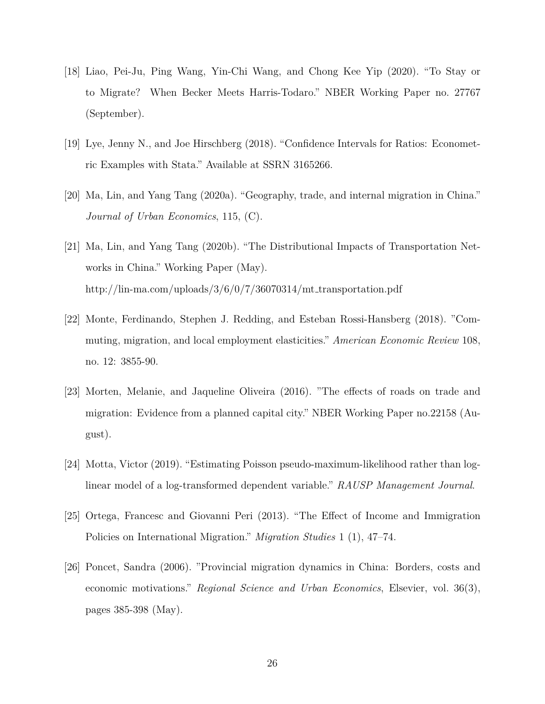- [18] Liao, Pei-Ju, Ping Wang, Yin-Chi Wang, and Chong Kee Yip (2020). "To Stay or to Migrate? When Becker Meets Harris-Todaro." NBER Working Paper no. 27767 (September).
- [19] Lye, Jenny N., and Joe Hirschberg (2018). "Confidence Intervals for Ratios: Econometric Examples with Stata." Available at SSRN 3165266.
- [20] Ma, Lin, and Yang Tang (2020a). "Geography, trade, and internal migration in China." *Journal of Urban Economics*, 115, (C).
- [21] Ma, Lin, and Yang Tang (2020b). "The Distributional Impacts of Transportation Networks in China." Working Paper (May). http://lin-ma.com/uploads/ $3/6/0/7/36070314/mt_{trans}$
- [22] Monte, Ferdinando, Stephen J. Redding, and Esteban Rossi-Hansberg (2018). "Commuting, migration, and local employment elasticities." *American Economic Review* 108, no. 12: 3855-90.
- [23] Morten, Melanie, and Jaqueline Oliveira (2016). "The effects of roads on trade and migration: Evidence from a planned capital city." NBER Working Paper no.22158 (August).
- [24] Motta, Victor (2019). "Estimating Poisson pseudo-maximum-likelihood rather than loglinear model of a log-transformed dependent variable." *RAUSP Management Journal*.
- [25] Ortega, Francesc and Giovanni Peri (2013). "The Effect of Income and Immigration Policies on International Migration." *Migration Studies* 1 (1), 47–74.
- [26] Poncet, Sandra (2006). "Provincial migration dynamics in China: Borders, costs and economic motivations." *Regional Science and Urban Economics*, Elsevier, vol. 36(3), pages 385-398 (May).